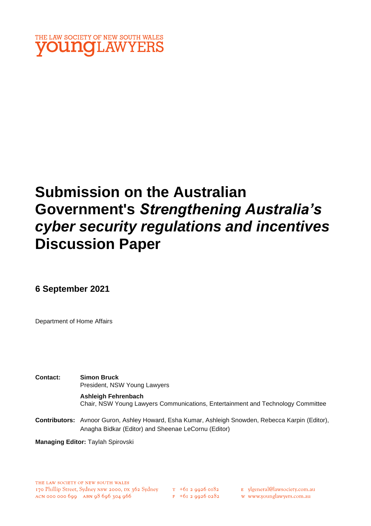

# **Submission on the Australian Government's** *Strengthening Australia's cyber security regulations and incentives* **Discussion Paper**

**6 September 2021**

Department of Home Affairs

**Contact: Simon Bruck** President, NSW Young Lawyers **Ashleigh Fehrenbach** Chair, NSW Young Lawyers Communications, Entertainment and Technology Committee

**Contributors:** Avnoor Guron, Ashley Howard, Esha Kumar, Ashleigh Snowden, Rebecca Karpin (Editor), Anagha Bidkar (Editor) and Sheenae LeCornu (Editor)

**Managing Editor:** Taylah Spirovski

 $T_{+61}$  2 9926 0182

w www.younglawyers.com.au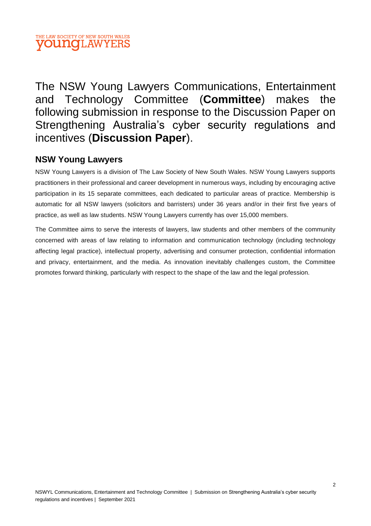

The NSW Young Lawyers Communications, Entertainment and Technology Committee (**Committee**) makes the following submission in response to the Discussion Paper on Strengthening Australia's cyber security regulations and incentives (**Discussion Paper**).

#### **NSW Young Lawyers**

NSW Young Lawyers is a division of The Law Society of New South Wales. NSW Young Lawyers supports practitioners in their professional and career development in numerous ways, including by encouraging active participation in its 15 separate committees, each dedicated to particular areas of practice. Membership is automatic for all NSW lawyers (solicitors and barristers) under 36 years and/or in their first five years of practice, as well as law students. NSW Young Lawyers currently has over 15,000 members.

The Committee aims to serve the interests of lawyers, law students and other members of the community concerned with areas of law relating to information and communication technology (including technology affecting legal practice), intellectual property, advertising and consumer protection, confidential information and privacy, entertainment, and the media. As innovation inevitably challenges custom, the Committee promotes forward thinking, particularly with respect to the shape of the law and the legal profession.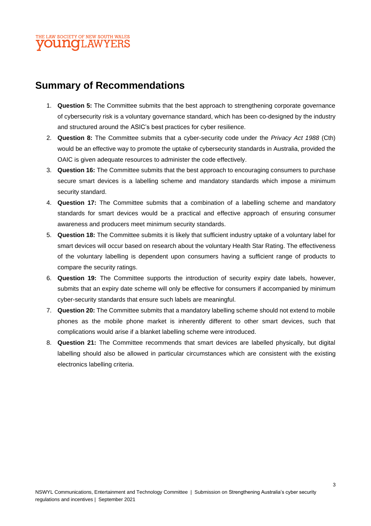## **Summary of Recommendations**

- 1. **Question 5:** The Committee submits that the best approach to strengthening corporate governance of cybersecurity risk is a voluntary governance standard, which has been co-designed by the industry and structured around the ASIC's best practices for cyber resilience.
- 2. **Question 8:** The Committee submits that a cyber-security code under the *Privacy Act 1988* (Cth) would be an effective way to promote the uptake of cybersecurity standards in Australia, provided the OAIC is given adequate resources to administer the code effectively.
- 3. **Question 16:** The Committee submits that the best approach to encouraging consumers to purchase secure smart devices is a labelling scheme and mandatory standards which impose a minimum security standard.
- 4. **Question 17:** The Committee submits that a combination of a labelling scheme and mandatory standards for smart devices would be a practical and effective approach of ensuring consumer awareness and producers meet minimum security standards.
- 5. **Question 18:** The Committee submits it is likely that sufficient industry uptake of a voluntary label for smart devices will occur based on research about the voluntary Health Star Rating. The effectiveness of the voluntary labelling is dependent upon consumers having a sufficient range of products to compare the security ratings.
- 6. **Question 19:** The Committee supports the introduction of security expiry date labels, however, submits that an expiry date scheme will only be effective for consumers if accompanied by minimum cyber-security standards that ensure such labels are meaningful.
- 7. **Question 20:** The Committee submits that a mandatory labelling scheme should not extend to mobile phones as the mobile phone market is inherently different to other smart devices, such that complications would arise if a blanket labelling scheme were introduced.
- 8. **Question 21:** The Committee recommends that smart devices are labelled physically, but digital labelling should also be allowed in particular circumstances which are consistent with the existing electronics labelling criteria.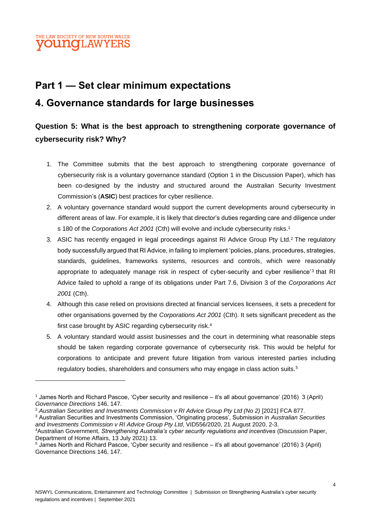

## **Part 1 — Set clear minimum expectations 4. Governance standards for large businesses**

### **Question 5: What is the best approach to strengthening corporate governance of cybersecurity risk? Why?**

- 1. The Committee submits that the best approach to strengthening corporate governance of cybersecurity risk is a voluntary governance standard (Option 1 in the Discussion Paper), which has been co-designed by the industry and structured around the Australian Security Investment Commission's (**ASIC**) best practices for cyber resilience.
- 2. A voluntary governance standard would support the current developments around cybersecurity in different areas of law. For example, it is likely that director's duties regarding care and diligence under s 180 of the *Corporations Act 2001* (Cth) will evolve and include cybersecurity risks. 1
- 3. ASIC has recently engaged in legal proceedings against RI Advice Group Pty Ltd. <sup>2</sup> The regulatory body successfully argued that RI Advice, in failing to implement 'policies, plans, procedures, strategies, standards, guidelines, frameworks systems, resources and controls, which were reasonably appropriate to adequately manage risk in respect of cyber-security and cyber resilience'<sup>3</sup> that RI Advice failed to uphold a range of its obligations under Part 7.6, Division 3 of the *Corporations Act 2001* (Cth).
- 4. Although this case relied on provisions directed at financial services licensees, it sets a precedent for other organisations governed by the *Corporations Act 2001* (Cth). It sets significant precedent as the first case brought by ASIC regarding cybersecurity risk. 4
- 5. A voluntary standard would assist businesses and the court in determining what reasonable steps should be taken regarding corporate governance of cybersecurity risk. This would be helpful for corporations to anticipate and prevent future litigation from various interested parties including regulatory bodies, shareholders and consumers who may engage in class action suits.<sup>5</sup>

<sup>1</sup> James North and Richard Pascoe, 'Cyber security and resilience – it's all about governance' (2016) 3 (April) *Governance Directions* 146, 147.

<sup>2</sup> *Australian Securities and Investments Commission v RI Advice Group Pty Ltd (No 2)* [2021] FCA 877.

<sup>3</sup> Australian Securities and Investments Commission, 'Originating process', Submission in *Australian Securities and Investments Commission v RI Advice Group Pty Ltd*, VID556/2020, 21 August 2020, 2-3.

<sup>4</sup>Australian Government, *Strengthening Australia's cyber security regulations and incentives* (Discussion Paper, Department of Home Affairs, 13 July 2021) 13.

<sup>5</sup> James North and Richard Pascoe, 'Cyber security and resilience – it's all about governance' (2016) 3 (April) Governance Directions 146, 147.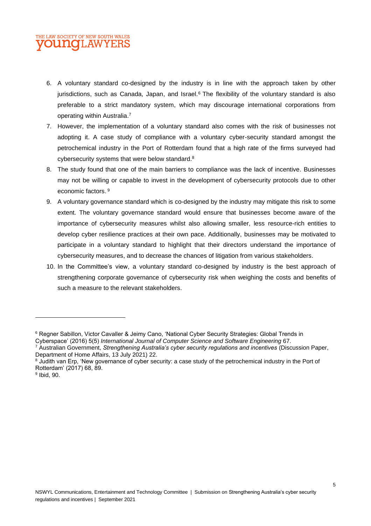#### E LAW SOCIETY OF NEW SOUTH WALES **OUNGLAW**

- 6. A voluntary standard co-designed by the industry is in line with the approach taken by other jurisdictions, such as Canada, Japan, and Israel. <sup>6</sup> The flexibility of the voluntary standard is also preferable to a strict mandatory system, which may discourage international corporations from operating within Australia. 7
- 7. However, the implementation of a voluntary standard also comes with the risk of businesses not adopting it. A case study of compliance with a voluntary cyber-security standard amongst the petrochemical industry in the Port of Rotterdam found that a high rate of the firms surveyed had cybersecurity systems that were below standard. $^8$
- 8. The study found that one of the main barriers to compliance was the lack of incentive. Businesses may not be willing or capable to invest in the development of cybersecurity protocols due to other economic factors. 9
- 9. A voluntary governance standard which is co-designed by the industry may mitigate this risk to some extent. The voluntary governance standard would ensure that businesses become aware of the importance of cybersecurity measures whilst also allowing smaller, less resource-rich entities to develop cyber resilience practices at their own pace. Additionally, businesses may be motivated to participate in a voluntary standard to highlight that their directors understand the importance of cybersecurity measures, and to decrease the chances of litigation from various stakeholders.
- 10. In the Committee's view, a voluntary standard co-designed by industry is the best approach of strengthening corporate governance of cybersecurity risk when weighing the costs and benefits of such a measure to the relevant stakeholders.

<sup>6</sup> Regner Sabillon, Victor Cavaller & Jeimy Cano, 'National Cyber Security Strategies: Global Trends in Cyberspace' (2016) 5(5) *International Journal of Computer Science and Software Engineering* 67.

<sup>7</sup> Australian Government, *Strengthening Australia's cyber security regulations and incentives* (Discussion Paper, Department of Home Affairs, 13 July 2021) 22.

<sup>&</sup>lt;sup>8</sup> Judith van Erp, 'New governance of cyber security: a case study of the petrochemical industry in the Port of Rotterdam' (2017) 68, 89.

<sup>9</sup> Ibid, 90.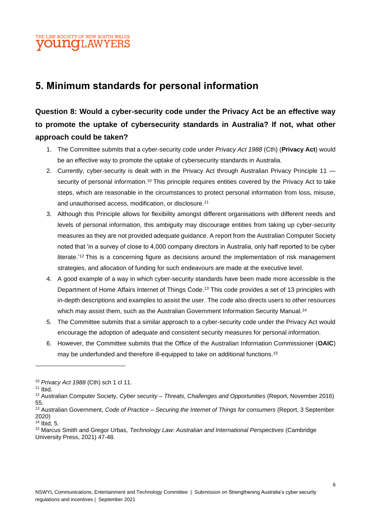#### THE LAW SOCIETY OF NEW SOUTH WALES **OUNCLAW**

## **5. Minimum standards for personal information**

## **Question 8: Would a cyber-security code under the Privacy Act be an effective way to promote the uptake of cybersecurity standards in Australia? If not, what other approach could be taken?**

- 1. The Committee submits that a cyber-security code under *Privacy Act 1988* (Cth) (**Privacy Act**) would be an effective way to promote the uptake of cybersecurity standards in Australia.
- 2. Currently, cyber-security is dealt with in the Privacy Act through Australian Privacy Principle 11 security of personal information.<sup>10</sup> This principle requires entities covered by the Privacy Act to take steps, which are reasonable in the circumstances to protect personal information from loss, misuse, and unauthorised access, modification, or disclosure. 11
- 3. Although this Principle allows for flexibility amongst different organisations with different needs and levels of personal information, this ambiguity may discourage entities from taking up cyber-security measures as they are not provided adequate guidance. A report from the Australian Computer Society noted that 'in a survey of close to 4,000 company directors in Australia, only half reported to be cyber literate.'<sup>12</sup> This is a concerning figure as decisions around the implementation of risk management strategies, and allocation of funding for such endeavours are made at the executive level.
- 4. A good example of a way in which cyber-security standards have been made more accessible is the Department of Home Affairs Internet of Things Code.<sup>13</sup> This code provides a set of 13 principles with in-depth descriptions and examples to assist the user. The code also directs users to other resources which may assist them, such as the Australian Government Information Security Manual.<sup>14</sup>
- 5. The Committee submits that a similar approach to a cyber-security code under the Privacy Act would encourage the adoption of adequate and consistent security measures for personal information.
- 6. However, the Committee submits that the Office of the Australian Information Commissioner (**OAIC**) may be underfunded and therefore ill-equipped to take on additional functions. 15

<sup>10</sup> *Privacy Act 1988* (Cth) sch 1 cl 11.

 $11$  Ibid.

<sup>12</sup> Australian Computer Society, *Cyber security – Threats, Challenges and Opportunities* (Report, November 2016) 55.

<sup>13</sup> Australian Government, *Code of Practice – Securing the Internet of Things for consumers* (Report, 3 September 2020)

 $14$  Ibid, 5.

<sup>15</sup> Marcus Smith and Gregor Urbas, *Technology Law: Australian and International Perspectives* (Cambridge University Press, 2021) 47-48.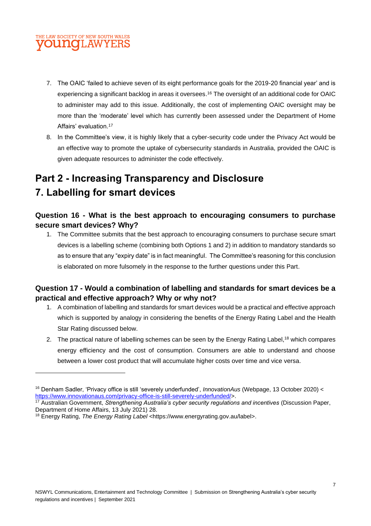#### E LAW SOCIETY OF NEW SOUTH WALES **OUNGLAW**

- 7. The OAIC 'failed to achieve seven of its eight performance goals for the 2019-20 financial year' and is experiencing a significant backlog in areas it oversees.<sup>16</sup> The oversight of an additional code for OAIC to administer may add to this issue. Additionally, the cost of implementing OAIC oversight may be more than the 'moderate' level which has currently been assessed under the Department of Home Affairs' evaluation. 17
- 8. In the Committee's view, it is highly likely that a cyber-security code under the Privacy Act would be an effective way to promote the uptake of cybersecurity standards in Australia, provided the OAIC is given adequate resources to administer the code effectively.

## **Part 2 - Increasing Transparency and Disclosure 7. Labelling for smart devices**

#### **Question 16 - What is the best approach to encouraging consumers to purchase secure smart devices? Why?**

1. The Committee submits that the best approach to encouraging consumers to purchase secure smart devices is a labelling scheme (combining both Options 1 and 2) in addition to mandatory standards so as to ensure that any "expiry date" is in fact meaningful. The Committee's reasoning for this conclusion is elaborated on more fulsomely in the response to the further questions under this Part.

#### **Question 17 - Would a combination of labelling and standards for smart devices be a practical and effective approach? Why or why not?**

- 1. A combination of labelling and standards for smart devices would be a practical and effective approach which is supported by analogy in considering the benefits of the Energy Rating Label and the Health Star Rating discussed below.
- 2. The practical nature of labelling schemes can be seen by the Energy Rating Label,<sup>18</sup> which compares energy efficiency and the cost of consumption. Consumers are able to understand and choose between a lower cost product that will accumulate higher costs over time and vice versa.

<sup>16</sup> Denham Sadler, 'Privacy office is still 'severely underfunded', *InnovationAus* (Webpage, 13 October 2020) < [https://www.innovationaus.com/privacy-office-is-still-severely-underfunded/>](about:blank).

<sup>17</sup> Australian Government, *Strengthening Australia's cyber security regulations and incentives* (Discussion Paper, Department of Home Affairs, 13 July 2021) 28.

<sup>18</sup> Energy Rating, *The Energy Rating Label* <https://www.energyrating.gov.au/label>.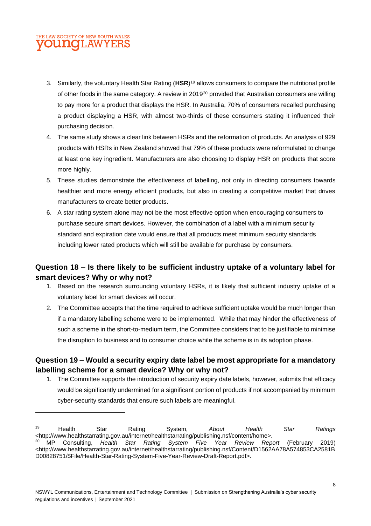#### E LAW SOCIETY OF NEW SOUTH WALES **OUNGLAW**

- 3. Similarly, the voluntary Health Star Rating (**HSR**) <sup>19</sup> allows consumers to compare the nutritional profile of other foods in the same category. A review in 2019<sup>20</sup> provided that Australian consumers are willing to pay more for a product that displays the HSR. In Australia, 70% of consumers recalled purchasing a product displaying a HSR, with almost two-thirds of these consumers stating it influenced their purchasing decision.
- 4. The same study shows a clear link between HSRs and the reformation of products. An analysis of 929 products with HSRs in New Zealand showed that 79% of these products were reformulated to change at least one key ingredient. Manufacturers are also choosing to display HSR on products that score more highly.
- 5. These studies demonstrate the effectiveness of labelling, not only in directing consumers towards healthier and more energy efficient products, but also in creating a competitive market that drives manufacturers to create better products.
- 6. A star rating system alone may not be the most effective option when encouraging consumers to purchase secure smart devices. However, the combination of a label with a minimum security standard and expiration date would ensure that all products meet minimum security standards including lower rated products which will still be available for purchase by consumers.

#### **Question 18 – Is there likely to be sufficient industry uptake of a voluntary label for smart devices? Why or why not?**

- 1. Based on the research surrounding voluntary HSRs, it is likely that sufficient industry uptake of a voluntary label for smart devices will occur.
- 2. The Committee accepts that the time required to achieve sufficient uptake would be much longer than if a mandatory labelling scheme were to be implemented. While that may hinder the effectiveness of such a scheme in the short-to-medium term, the Committee considers that to be justifiable to minimise the disruption to business and to consumer choice while the scheme is in its adoption phase.

#### **Question 19 – Would a security expiry date label be most appropriate for a mandatory labelling scheme for a smart device? Why or why not?**

1. The Committee supports the introduction of security expiry date labels, however, submits that efficacy would be significantly undermined for a significant portion of products if not accompanied by minimum cyber-security standards that ensure such labels are meaningful.

<sup>19</sup> Health Star Rating System, *About Health Star Ratings* <http://www.healthstarrating.gov.au/internet/healthstarrating/publishing.nsf/content/home>.

<sup>20</sup> MP Consulting, *Health Star Rating System Five Year Review Report* (February 2019) <http://www.healthstarrating.gov.au/internet/healthstarrating/publishing.nsf/Content/D1562AA78A574853CA2581B D00828751/\$File/Health-Star-Rating-System-Five-Year-Review-Draft-Report.pdf>.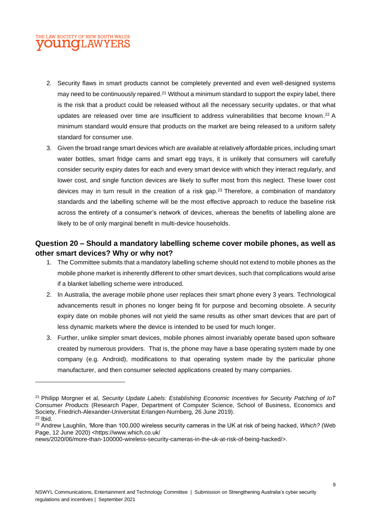#### IE LAW SOCIETY OF NEW SOUTH WALES **OUNGLAW**

- 2. Security flaws in smart products cannot be completely prevented and even well-designed systems may need to be continuously repaired.<sup>21</sup> Without a minimum standard to support the expiry label, there is the risk that a product could be released without all the necessary security updates, or that what updates are released over time are insufficient to address vulnerabilities that become known.<sup>22</sup> A minimum standard would ensure that products on the market are being released to a uniform safety standard for consumer use.
- 3. Given the broad range smart devices which are available at relatively affordable prices, including smart water bottles, smart fridge cams and smart egg trays, it is unlikely that consumers will carefully consider security expiry dates for each and every smart device with which they interact regularly, and lower cost, and single function devices are likely to suffer most from this neglect. These lower cost devices may in turn result in the creation of a risk gap.<sup>23</sup> Therefore, a combination of mandatory standards and the labelling scheme will be the most effective approach to reduce the baseline risk across the entirety of a consumer's network of devices, whereas the benefits of labelling alone are likely to be of only marginal benefit in multi-device households.

#### **Question 20 – Should a mandatory labelling scheme cover mobile phones, as well as other smart devices? Why or why not?**

- 1. The Committee submits that a mandatory labelling scheme should not extend to mobile phones as the mobile phone market is inherently different to other smart devices, such that complications would arise if a blanket labelling scheme were introduced.
- 2. In Australia, the average mobile phone user replaces their smart phone every 3 years. Technological advancements result in phones no longer being fit for purpose and becoming obsolete. A security expiry date on mobile phones will not yield the same results as other smart devices that are part of less dynamic markets where the device is intended to be used for much longer.
- 3. Further, unlike simpler smart devices, mobile phones almost invariably operate based upon software created by numerous providers. That is, the phone may have a base operating system made by one company (e.g. Android), modifications to that operating system made by the particular phone manufacturer, and then consumer selected applications created by many companies.

<sup>21</sup> Philipp Morgner et al, *Security Update Labels: Establishing Economic Incentives for Security Patching of IoT Consumer Products* (Research Paper, Department of Computer Science, School of Business, Economics and Society, Friedrich-Alexander-Universitat Erlangen-Nurnberg, 26 June 2019).

 $22$  Ibid.

<sup>23</sup> Andrew Laughlin, 'More than 100,000 wireless security cameras in the UK at risk of being hacked, *Which?* (Web Page, 12 June 2020) <https://www.which.co.uk/

news/2020/06/more-than-100000-wireless-security-cameras-in-the-uk-at-risk-of-being-hacked/>.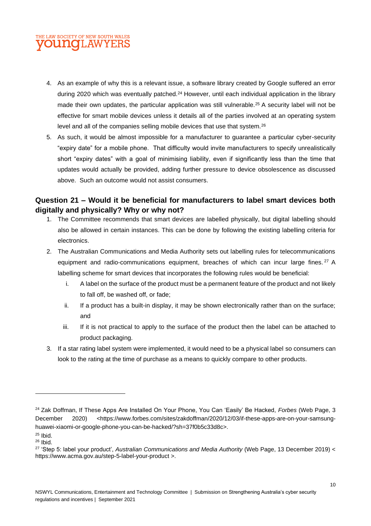#### LAW SOCIETY OF NEW SOUTH WALES **OUNGLAW**

- 4. As an example of why this is a relevant issue, a software library created by Google suffered an error during 2020 which was eventually patched.<sup>24</sup> However, until each individual application in the library made their own updates, the particular application was still vulnerable.<sup>25</sup> A security label will not be effective for smart mobile devices unless it details all of the parties involved at an operating system level and all of the companies selling mobile devices that use that system.<sup>26</sup>
- 5. As such, it would be almost impossible for a manufacturer to guarantee a particular cyber-security "expiry date" for a mobile phone. That difficulty would invite manufacturers to specify unrealistically short "expiry dates" with a goal of minimising liability, even if significantly less than the time that updates would actually be provided, adding further pressure to device obsolescence as discussed above. Such an outcome would not assist consumers.

#### **Question 21 – Would it be beneficial for manufacturers to label smart devices both digitally and physically? Why or why not?**

- 1. The Committee recommends that smart devices are labelled physically, but digital labelling should also be allowed in certain instances. This can be done by following the existing labelling criteria for electronics.
- 2. The Australian Communications and Media Authority sets out labelling rules for telecommunications equipment and radio-communications equipment, breaches of which can incur large fines.<sup>27</sup> A labelling scheme for smart devices that incorporates the following rules would be beneficial:
	- i. A label on the surface of the product must be a permanent feature of the product and not likely to fall off, be washed off, or fade;
	- ii. If a product has a built-in display, it may be shown electronically rather than on the surface; and
	- iii. If it is not practical to apply to the surface of the product then the label can be attached to product packaging.
- 3. If a star rating label system were implemented, it would need to be a physical label so consumers can look to the rating at the time of purchase as a means to quickly compare to other products.

<sup>24</sup> Zak Doffman, If These Apps Are Installed On Your Phone, You Can 'Easily' Be Hacked, *Forbes* (Web Page, 3 December 2020) <https://www.forbes.com/sites/zakdoffman/2020/12/03/if-these-apps-are-on-your-samsunghuawei-xiaomi-or-google-phone-you-can-be-hacked/?sh=37f0b5c33d8c>.

 $25$  Ibid.

 $26$  Ibid.

<sup>27</sup> 'Step 5: label your product', *Australian Communications and Media Authority* (Web Page, 13 December 2019) < https://www.acma.gov.au/step-5-label-your-product >.